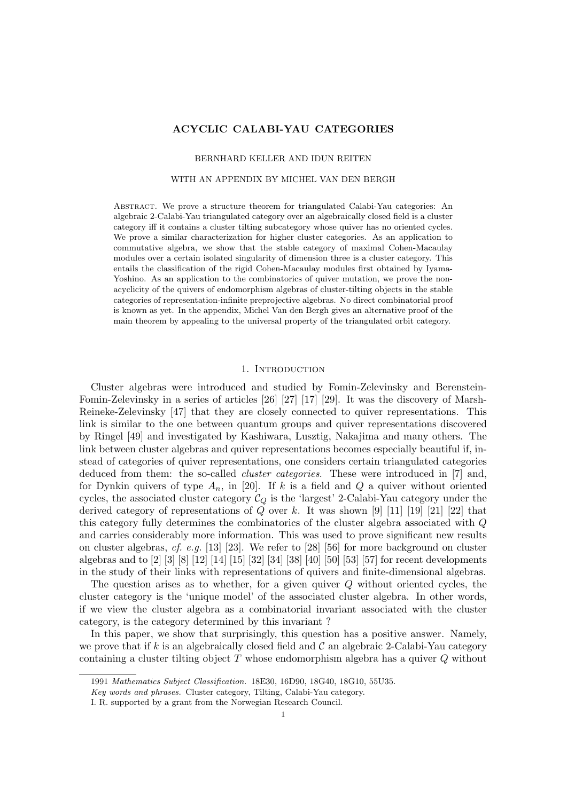# ACYCLIC CALABI-YAU CATEGORIES

### BERNHARD KELLER AND IDUN REITEN

### WITH AN APPENDIX BY MICHEL VAN DEN BERGH

Abstract. We prove a structure theorem for triangulated Calabi-Yau categories: An algebraic 2-Calabi-Yau triangulated category over an algebraically closed field is a cluster category iff it contains a cluster tilting subcategory whose quiver has no oriented cycles. We prove a similar characterization for higher cluster categories. As an application to commutative algebra, we show that the stable category of maximal Cohen-Macaulay modules over a certain isolated singularity of dimension three is a cluster category. This entails the classification of the rigid Cohen-Macaulay modules first obtained by Iyama-Yoshino. As an application to the combinatorics of quiver mutation, we prove the nonacyclicity of the quivers of endomorphism algebras of cluster-tilting objects in the stable categories of representation-infinite preprojective algebras. No direct combinatorial proof is known as yet. In the appendix, Michel Van den Bergh gives an alternative proof of the main theorem by appealing to the universal property of the triangulated orbit category.

## 1. INTRODUCTION

Cluster algebras were introduced and studied by Fomin-Zelevinsky and Berenstein-Fomin-Zelevinsky in a series of articles [26] [27] [17] [29]. It was the discovery of Marsh-Reineke-Zelevinsky [47] that they are closely connected to quiver representations. This link is similar to the one between quantum groups and quiver representations discovered by Ringel [49] and investigated by Kashiwara, Lusztig, Nakajima and many others. The link between cluster algebras and quiver representations becomes especially beautiful if, instead of categories of quiver representations, one considers certain triangulated categories deduced from them: the so-called *cluster categories*. These were introduced in [7] and, for Dynkin quivers of type  $A_n$ , in [20]. If k is a field and Q a quiver without oriented cycles, the associated cluster category  $C_Q$  is the 'largest' 2-Calabi-Yau category under the derived category of representations of  $Q$  over  $k$ . It was shown [9] [11] [19] [21] [22] that this category fully determines the combinatorics of the cluster algebra associated with Q and carries considerably more information. This was used to prove significant new results on cluster algebras, cf. e.g. [13] [23]. We refer to [28] [56] for more background on cluster algebras and to [2] [3] [8] [12] [14] [15] [32] [34] [38] [40] [50] [53] [57] for recent developments in the study of their links with representations of quivers and finite-dimensional algebras.

The question arises as to whether, for a given quiver Q without oriented cycles, the cluster category is the 'unique model' of the associated cluster algebra. In other words, if we view the cluster algebra as a combinatorial invariant associated with the cluster category, is the category determined by this invariant ?

In this paper, we show that surprisingly, this question has a positive answer. Namely, we prove that if k is an algebraically closed field and  $\mathcal C$  an algebraic 2-Calabi-Yau category containing a cluster tilting object  $T$  whose endomorphism algebra has a quiver  $Q$  without

<sup>1991</sup> Mathematics Subject Classification. 18E30, 16D90, 18G40, 18G10, 55U35.

Key words and phrases. Cluster category, Tilting, Calabi-Yau category.

I. R. supported by a grant from the Norwegian Research Council.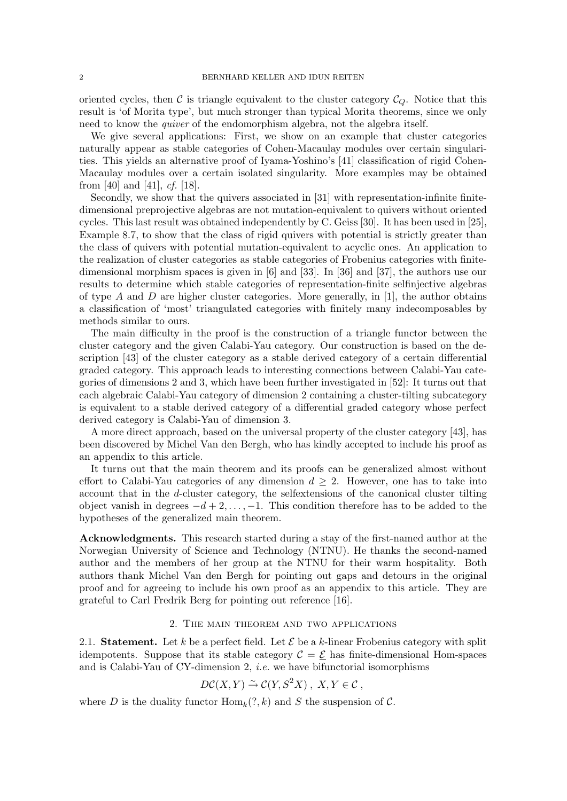oriented cycles, then  $\mathcal C$  is triangle equivalent to the cluster category  $\mathcal C_Q$ . Notice that this result is 'of Morita type', but much stronger than typical Morita theorems, since we only need to know the quiver of the endomorphism algebra, not the algebra itself.

We give several applications: First, we show on an example that cluster categories naturally appear as stable categories of Cohen-Macaulay modules over certain singularities. This yields an alternative proof of Iyama-Yoshino's [41] classification of rigid Cohen-Macaulay modules over a certain isolated singularity. More examples may be obtained from [40] and [41], *cf.* [18].

Secondly, we show that the quivers associated in [31] with representation-infinite finitedimensional preprojective algebras are not mutation-equivalent to quivers without oriented cycles. This last result was obtained independently by C. Geiss [30]. It has been used in [25], Example 8.7, to show that the class of rigid quivers with potential is strictly greater than the class of quivers with potential mutation-equivalent to acyclic ones. An application to the realization of cluster categories as stable categories of Frobenius categories with finitedimensional morphism spaces is given in [6] and [33]. In [36] and [37], the authors use our results to determine which stable categories of representation-finite selfinjective algebras of type A and D are higher cluster categories. More generally, in [1], the author obtains a classification of 'most' triangulated categories with finitely many indecomposables by methods similar to ours.

The main difficulty in the proof is the construction of a triangle functor between the cluster category and the given Calabi-Yau category. Our construction is based on the description [43] of the cluster category as a stable derived category of a certain differential graded category. This approach leads to interesting connections between Calabi-Yau categories of dimensions 2 and 3, which have been further investigated in [52]: It turns out that each algebraic Calabi-Yau category of dimension 2 containing a cluster-tilting subcategory is equivalent to a stable derived category of a differential graded category whose perfect derived category is Calabi-Yau of dimension 3.

A more direct approach, based on the universal property of the cluster category [43], has been discovered by Michel Van den Bergh, who has kindly accepted to include his proof as an appendix to this article.

It turns out that the main theorem and its proofs can be generalized almost without effort to Calabi-Yau categories of any dimension  $d \geq 2$ . However, one has to take into account that in the d-cluster category, the selfextensions of the canonical cluster tilting object vanish in degrees  $-d+2,\ldots,-1$ . This condition therefore has to be added to the hypotheses of the generalized main theorem.

Acknowledgments. This research started during a stay of the first-named author at the Norwegian University of Science and Technology (NTNU). He thanks the second-named author and the members of her group at the NTNU for their warm hospitality. Both authors thank Michel Van den Bergh for pointing out gaps and detours in the original proof and for agreeing to include his own proof as an appendix to this article. They are grateful to Carl Fredrik Berg for pointing out reference [16].

### 2. The main theorem and two applications

2.1. Statement. Let k be a perfect field. Let  $\mathcal E$  be a k-linear Frobenius category with split idempotents. Suppose that its stable category  $C = \mathcal{E}$  has finite-dimensional Hom-spaces and is Calabi-Yau of CY-dimension 2, i.e. we have bifunctorial isomorphisms

$$
D\mathcal{C}(X,Y) \stackrel{\sim}{\rightarrow} \mathcal{C}(Y,S^2X) , X,Y \in \mathcal{C} ,
$$

where D is the duality functor  $\text{Hom}_k(?, k)$  and S the suspension of C.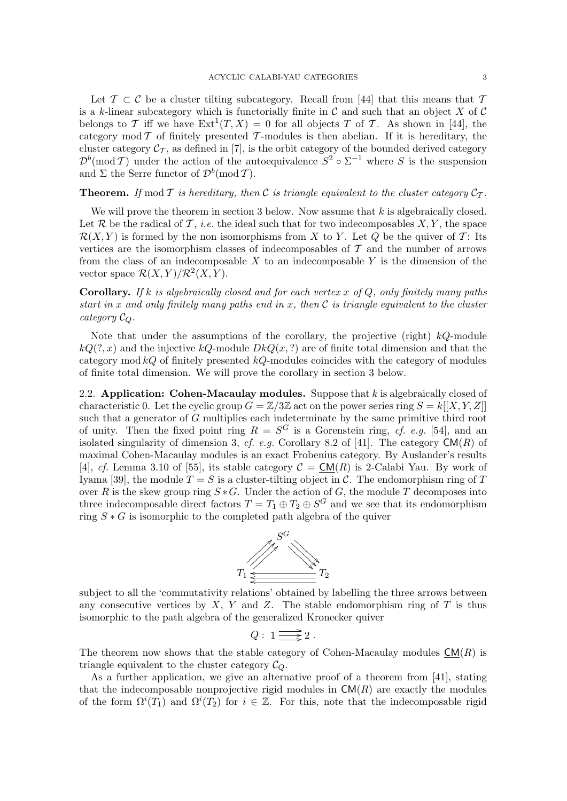Let  $\mathcal{T} \subset \mathcal{C}$  be a cluster tilting subcategory. Recall from [44] that this means that  $\mathcal{T}$ is a k-linear subcategory which is functorially finite in C and such that an object X of C belongs to T iff we have  $Ext^1(T,X) = 0$  for all objects T of T. As shown in [44], the category mod  $\mathcal T$  of finitely presented  $\mathcal T$ -modules is then abelian. If it is hereditary, the cluster category  $\mathcal{C}_{\mathcal{T}}$ , as defined in [7], is the orbit category of the bounded derived category  $\mathcal{D}^b(\text{mod } \mathcal{T})$  under the action of the autoequivalence  $S^2 \circ \Sigma^{-1}$  where S is the suspension and  $\Sigma$  the Serre functor of  $\mathcal{D}^b(\text{mod } \mathcal{T})$ .

**Theorem.** If mod T is hereditary, then C is triangle equivalent to the cluster category  $C_{\mathcal{T}}$ .

We will prove the theorem in section 3 below. Now assume that  $k$  is algebraically closed. Let R be the radical of T, *i.e.* the ideal such that for two indecomposables  $X, Y$ , the space  $\mathcal{R}(X, Y)$  is formed by the non isomorphisms from X to Y. Let Q be the quiver of T: Its vertices are the isomorphism classes of indecomposables of  $T$  and the number of arrows from the class of an indecomposable  $X$  to an indecomposable  $Y$  is the dimension of the vector space  $\mathcal{R}(X,Y)/\mathcal{R}^2(X,Y)$ .

**Corollary.** If k is algebraically closed and for each vertex x of Q, only finitely many paths start in x and only finitely many paths end in x, then  $\mathcal C$  is triangle equivalent to the cluster category  $\mathcal{C}_Q$ .

Note that under the assumptions of the corollary, the projective (right)  $kQ$ -module  $kQ(?, x)$  and the injective  $kQ$ -module  $DkQ(x, ?)$  are of finite total dimension and that the category mod  $kQ$  of finitely presented  $kQ$ -modules coincides with the category of modules of finite total dimension. We will prove the corollary in section 3 below.

2.2. Application: Cohen-Macaulay modules. Suppose that  $k$  is algebraically closed of characteristic 0. Let the cyclic group  $G = \mathbb{Z}/3\mathbb{Z}$  act on the power series ring  $S = k[[X, Y, Z]]$ such that a generator of G multiplies each indeterminate by the same primitive third root of unity. Then the fixed point ring  $R = S^G$  is a Gorenstein ring, cf. e.g. [54], and an isolated singularity of dimension 3, cf. e.g. Corollary 8.2 of [41]. The category  $CM(R)$  of maximal Cohen-Macaulay modules is an exact Frobenius category. By Auslander's results [4], cf. Lemma 3.10 of [55], its stable category  $C = CM(R)$  is 2-Calabi Yau. By work of Iyama [39], the module  $T = S$  is a cluster-tilting object in C. The endomorphism ring of T over R is the skew group ring  $S * G$ . Under the action of G, the module T decomposes into three indecomposable direct factors  $T = T_1 \oplus T_2 \oplus S^G$  and we see that its endomorphism ring  $S * G$  is isomorphic to the completed path algebra of the quiver



subject to all the 'commutativity relations' obtained by labelling the three arrows between any consecutive vertices by  $X$ ,  $Y$  and  $Z$ . The stable endomorphism ring of  $T$  is thus isomorphic to the path algebra of the generalized Kronecker quiver

$$
Q: 1 \longrightarrow 2.
$$

The theorem now shows that the stable category of Cohen-Macaulay modules  $CM(R)$  is triangle equivalent to the cluster category  $\mathcal{C}_{\Omega}$ .

As a further application, we give an alternative proof of a theorem from [41], stating that the indecomposable nonprojective rigid modules in  $CM(R)$  are exactly the modules of the form  $\Omega^{i}(T_1)$  and  $\Omega^{i}(T_2)$  for  $i \in \mathbb{Z}$ . For this, note that the indecomposable rigid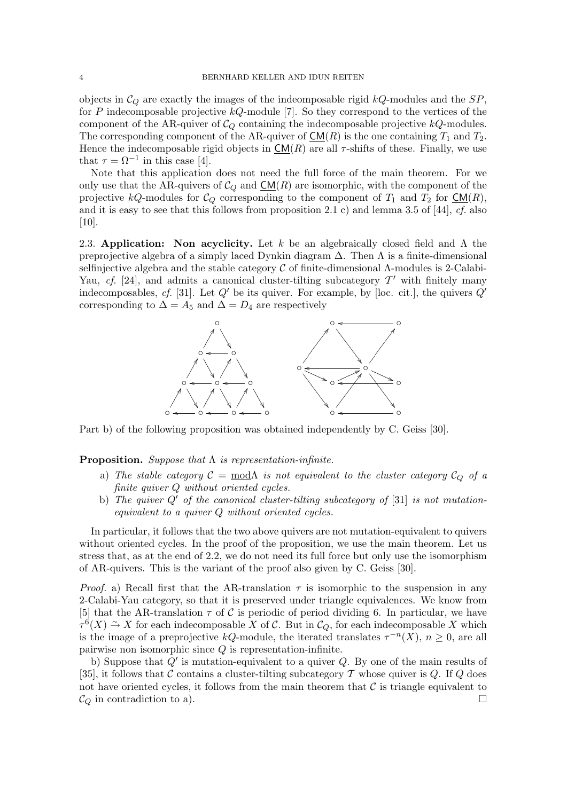objects in  $C_Q$  are exactly the images of the indeomposable rigid  $kQ$ -modules and the  $SP$ , for P indecomposable projective  $kQ$ -module [7]. So they correspond to the vertices of the component of the AR-quiver of  $\mathcal{C}_Q$  containing the indecomposable projective  $kQ$ -modules. The corresponding component of the AR-quiver of  $CM(R)$  is the one containing  $T_1$  and  $T_2$ . Hence the indecomposable rigid objects in  $CM(R)$  are all  $\tau$ -shifts of these. Finally, we use that  $\tau = \Omega^{-1}$  in this case [4].

Note that this application does not need the full force of the main theorem. For we only use that the AR-quivers of  $C_Q$  and  $CM(R)$  are isomorphic, with the component of the projective kQ-modules for  $C_Q$  corresponding to the component of  $T_1$  and  $T_2$  for  $\underline{CM}(R)$ , and it is easy to see that this follows from proposition 2.1 c) and lemma 3.5 of [44],  $cf.$  also [10].

2.3. Application: Non acyclicity. Let k be an algebraically closed field and  $\Lambda$  the preprojective algebra of a simply laced Dynkin diagram  $\Delta$ . Then  $\Lambda$  is a finite-dimensional selfinjective algebra and the stable category  $\mathcal C$  of finite-dimensional  $\Lambda$ -modules is 2-Calabi-Yau, cf. [24], and admits a canonical cluster-tilting subcategory  $\mathcal{T}'$  with finitely many indecomposables, cf. [31]. Let  $Q'$  be its quiver. For example, by [loc. cit.], the quivers  $Q'$ corresponding to  $\Delta = A_5$  and  $\Delta = D_4$  are respectively



Part b) of the following proposition was obtained independently by C. Geiss [30].

**Proposition.** Suppose that  $\Lambda$  is representation-infinite.

- a) The stable category  $\mathcal{C} = \text{mod}\Lambda$  is not equivalent to the cluster category  $\mathcal{C}_Q$  of a finite quiver Q without oriented cycles.
- b) The quiver  $Q'$  of the canonical cluster-tilting subcategory of [31] is not mutationequivalent to a quiver Q without oriented cycles.

In particular, it follows that the two above quivers are not mutation-equivalent to quivers without oriented cycles. In the proof of the proposition, we use the main theorem. Let us stress that, as at the end of 2.2, we do not need its full force but only use the isomorphism of AR-quivers. This is the variant of the proof also given by C. Geiss [30].

*Proof.* a) Recall first that the AR-translation  $\tau$  is isomorphic to the suspension in any 2-Calabi-Yau category, so that it is preserved under triangle equivalences. We know from [5] that the AR-translation  $\tau$  of C is periodic of period dividing 6. In particular, we have  $\tau$ <sup>6</sup>(X)  $\stackrel{\sim}{\rightarrow} X$  for each indecomposable X of C. But in  $\mathcal{C}_Q$ , for each indecomposable X which is the image of a preprojective kQ-module, the iterated translates  $\tau^{-n}(X)$ ,  $n \geq 0$ , are all pairwise non isomorphic since  $Q$  is representation-infinite.

b) Suppose that  $Q'$  is mutation-equivalent to a quiver  $Q$ . By one of the main results of [35], it follows that C contains a cluster-tilting subcategory T whose quiver is Q. If Q does not have oriented cycles, it follows from the main theorem that  $\mathcal C$  is triangle equivalent to  $\mathcal{C}_Q$  in contradiction to a).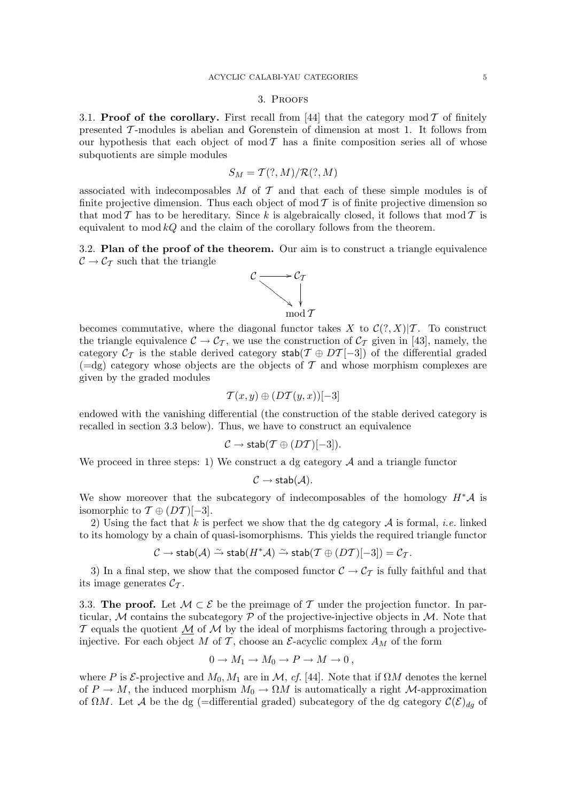### 3. Proofs

3.1. Proof of the corollary. First recall from [44] that the category mod  $\mathcal T$  of finitely presented T -modules is abelian and Gorenstein of dimension at most 1. It follows from our hypothesis that each object of mod  $T$  has a finite composition series all of whose subquotients are simple modules

$$
S_M = \mathcal{T}(?,M)/\mathcal{R}(?,M)
$$

associated with indecomposables  $M$  of  $\mathcal T$  and that each of these simple modules is of finite projective dimension. Thus each object of mod  $\mathcal T$  is of finite projective dimension so that mod T has to be hereditary. Since k is algebraically closed, it follows that mod T is equivalent to mod  $kQ$  and the claim of the corollary follows from the theorem.

3.2. Plan of the proof of the theorem. Our aim is to construct a triangle equivalence  $\mathcal{C} \rightarrow \mathcal{C}_{\mathcal{T}}$  such that the triangle



becomes commutative, where the diagonal functor takes X to  $\mathcal{C}(?, X)|\mathcal{T}$ . To construct the triangle equivalence  $C \to C_T$ , we use the construction of  $C_T$  given in [43], namely, the category  $C_T$  is the stable derived category stab( $T \oplus DT[-3]$ ) of the differential graded  $(=\mathrm{dg})$  category whose objects are the objects of T and whose morphism complexes are given by the graded modules

$$
\mathcal{T}(x,y)\oplus(D\mathcal{T}(y,x))[-3]
$$

endowed with the vanishing differential (the construction of the stable derived category is recalled in section 3.3 below). Thus, we have to construct an equivalence

$$
C \to \mathsf{stab}(T \oplus (DT)[-3]).
$$

We proceed in three steps: 1) We construct a dg category  $A$  and a triangle functor

$$
\mathcal{C} \to \mathsf{stab}(\mathcal{A}).
$$

We show moreover that the subcategory of indecomposables of the homology  $H^*\mathcal A$  is isomorphic to  $\mathcal{T} \oplus (DT)[-3]$ .

2) Using the fact that k is perfect we show that the dg category  $A$  is formal, *i.e.* linked to its homology by a chain of quasi-isomorphisms. This yields the required triangle functor

$$
\mathcal{C} \to \mathsf{stab}(\mathcal{A}) \xrightarrow{\sim} \mathsf{stab}(H^*\mathcal{A}) \xrightarrow{\sim} \mathsf{stab}(\mathcal{T} \oplus (DT)[-3]) = \mathcal{C}_{\mathcal{T}}.
$$

3) In a final step, we show that the composed functor  $\mathcal{C} \to \mathcal{C}_{\mathcal{T}}$  is fully faithful and that its image generates  $\mathcal{C}_{\mathcal{T}}$ .

3.3. The proof. Let  $\mathcal{M} \subset \mathcal{E}$  be the preimage of T under the projection functor. In particular, M contains the subcategory  $\mathcal P$  of the projective-injective objects in M. Note that  $\mathcal T$  equals the quotient  $\mathcal M$  of  $\mathcal M$  by the ideal of morphisms factoring through a projectiveinjective. For each object M of T, choose an  $\mathcal{E}$ -acyclic complex  $A_M$  of the form

$$
0 \to M_1 \to M_0 \to P \to M \to 0 ,
$$

where P is  $\mathcal{E}$ -projective and  $M_0, M_1$  are in  $\mathcal{M}$ , cf. [44]. Note that if  $\Omega M$  denotes the kernel of  $P \to M$ , the induced morphism  $M_0 \to \Omega M$  is automatically a right M-approximation of  $\Omega M$ . Let A be the dg (=differential graded) subcategory of the dg category  $\mathcal{C}(\mathcal{E})_{da}$  of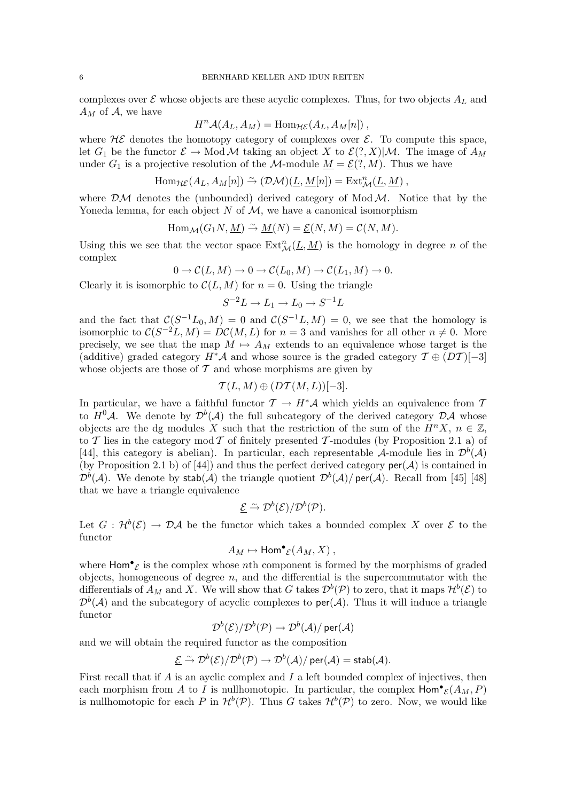complexes over  $\mathcal E$  whose objects are these acyclic complexes. Thus, for two objects  $A_L$  and  $A_M$  of A, we have

$$
H^{n} \mathcal{A}(A_{L}, A_{M}) = \text{Hom}_{\mathcal{HE}}(A_{L}, A_{M}[n]),
$$

where  $H\mathcal{E}$  denotes the homotopy category of complexes over  $\mathcal{E}$ . To compute this space, let  $G_1$  be the functor  $\mathcal{E} \to \text{Mod } \mathcal{M}$  taking an object X to  $\mathcal{E}(?, X)|\mathcal{M}$ . The image of  $A_M$ under  $G_1$  is a projective resolution of the M-module  $M = \mathcal{E}(?, M)$ . Thus we have

$$
\text{Hom}_{\mathcal{HE}}(A_L, A_M[n]) \xrightarrow{\sim} (\mathcal{DM})(\underline{L}, \underline{M}[n]) = \text{Ext}^n_{\mathcal{M}}(\underline{L}, \underline{M}),
$$

where  $\mathcal{DM}$  denotes the (unbounded) derived category of Mod  $\mathcal{M}$ . Notice that by the Yoneda lemma, for each object N of  $\mathcal{M}$ , we have a canonical isomorphism

$$
\operatorname{Hom}_{\mathcal{M}}(G_1N, \underline{M}) \xrightarrow{\sim} \underline{M}(N) = \underline{\mathcal{E}}(N, M) = \mathcal{C}(N, M).
$$

Using this we see that the vector space  $Ext_{\mathcal{M}}^{n}(\underline{L}, \underline{M})$  is the homology in degree n of the complex

$$
0 \to \mathcal{C}(L,M) \to 0 \to \mathcal{C}(L_0,M) \to \mathcal{C}(L_1,M) \to 0.
$$

Clearly it is isomorphic to  $\mathcal{C}(L, M)$  for  $n = 0$ . Using the triangle

$$
S^{-2}L \to L_1 \to L_0 \to S^{-1}L
$$

and the fact that  $\mathcal{C}(S^{-1}L_0, M) = 0$  and  $\mathcal{C}(S^{-1}L, M) = 0$ , we see that the homology is isomorphic to  $\mathcal{C}(S^{-2}L, M) = D\mathcal{C}(M, L)$  for  $n = 3$  and vanishes for all other  $n \neq 0$ . More precisely, we see that the map  $M \mapsto A_M$  extends to an equivalence whose target is the (additive) graded category  $H^*\mathcal{A}$  and whose source is the graded category  $\mathcal{T} \oplus (DT)[-3]$ whose objects are those of  $\mathcal T$  and whose morphisms are given by

$$
\mathcal{T}(L,M)\oplus (D\mathcal{T}(M,L))[-3].
$$

In particular, we have a faithful functor  $\mathcal{T} \to H^*\mathcal{A}$  which yields an equivalence from  $\mathcal{T}$ to  $H^0\mathcal{A}$ . We denote by  $\mathcal{D}^b(\mathcal{A})$  the full subcategory of the derived category  $\mathcal{D}\mathcal{A}$  whose objects are the dg modules X such that the restriction of the sum of the  $H^{n}X$ ,  $n \in \mathbb{Z}$ , to T lies in the category mod T of finitely presented T-modules (by Proposition 2.1 a) of [44], this category is abelian). In particular, each representable A-module lies in  $\mathcal{D}^b(\mathcal{A})$ (by Proposition 2.1 b) of [44]) and thus the perfect derived category  $\text{per}(\mathcal{A})$  is contained in  $\mathcal{D}^b(\mathcal{A})$ . We denote by stab( $\mathcal{A})$ ) the triangle quotient  $\mathcal{D}^b(\mathcal{A})/$  per( $\mathcal{A})$ ). Recall from [45] [48] that we have a triangle equivalence

$$
\underline{\mathcal{E}} \stackrel{\sim}{\rightarrow} \mathcal{D}^b(\mathcal{E})/\mathcal{D}^b(\mathcal{P}).
$$

Let  $G: \mathcal{H}^{b}(\mathcal{E}) \to \mathcal{D} \mathcal{A}$  be the functor which takes a bounded complex X over  $\mathcal{E}$  to the functor

$$
A_M \mapsto \text{Hom}^{\bullet}{}_{\mathcal{E}}(A_M, X) ,
$$

where  $\text{Hom}^{\bullet}{}_{\mathcal{E}}$  is the complex whose nth component is formed by the morphisms of graded objects, homogeneous of degree  $n$ , and the differential is the supercommutator with the differentials of  $A_M$  and X. We will show that G takes  $\mathcal{D}^b(\mathcal{P})$  to zero, that it maps  $\mathcal{H}^b(\mathcal{E})$  to  $\mathcal{D}^b(\mathcal{A})$  and the subcategory of acyclic complexes to per( $\mathcal{A}$ ). Thus it will induce a triangle functor

$$
\mathcal{D}^b(\mathcal{E})/\mathcal{D}^b(\mathcal{P}) \to \mathcal{D}^b(\mathcal{A})/\mathop{\mathsf{per}}(\mathcal{A})
$$

and we will obtain the required functor as the composition

$$
\underline{\mathcal{E}} \stackrel{\sim}{\rightarrow} \mathcal{D}^b(\mathcal{E})/\mathcal{D}^b(\mathcal{P}) \rightarrow \mathcal{D}^b(\mathcal{A})/\operatorname{\mathsf{per}}(\mathcal{A})=\operatorname{\mathsf{stab}}(\mathcal{A}).
$$

First recall that if  $A$  is an ayclic complex and  $I$  a left bounded complex of injectives, then each morphism from A to I is nullhomotopic. In particular, the complex  $\text{Hom}^{\bullet}_{\mathcal{E}}(A_M, P)$ is nullhomotopic for each P in  $\mathcal{H}^{b}(\mathcal{P})$ . Thus G takes  $\mathcal{H}^{b}(\mathcal{P})$  to zero. Now, we would like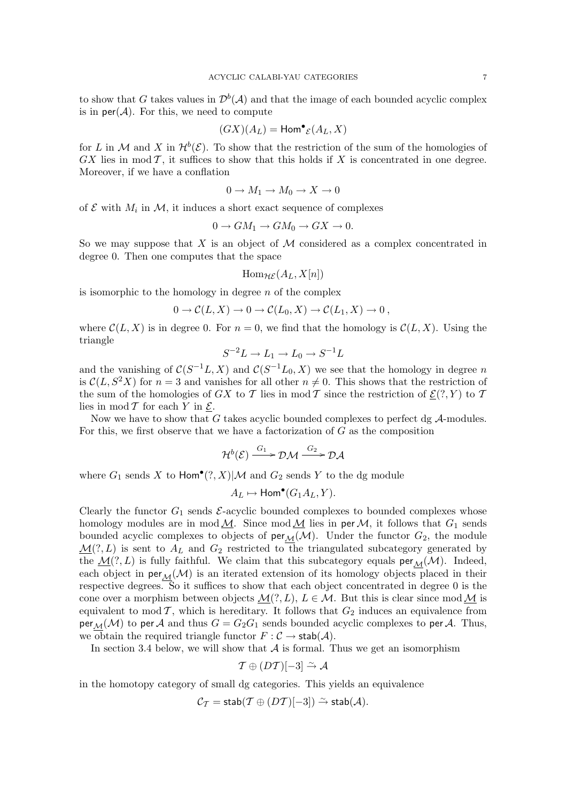to show that G takes values in  $\mathcal{D}^b(\mathcal{A})$  and that the image of each bounded acyclic complex is in  $\text{per}(\mathcal{A})$ . For this, we need to compute

$$
(GX)(A_L) = \text{Hom}^{\bullet}{}_{\mathcal{E}}(A_L, X)
$$

for L in M and X in  $\mathcal{H}^{b}(\mathcal{E})$ . To show that the restriction of the sum of the homologies of  $GX$  lies in mod  $T$ , it suffices to show that this holds if  $X$  is concentrated in one degree. Moreover, if we have a conflation

$$
0 \to M_1 \to M_0 \to X \to 0
$$

of  $\mathcal E$  with  $M_i$  in  $\mathcal M$ , it induces a short exact sequence of complexes

$$
0 \to GM_1 \to GM_0 \to GX \to 0.
$$

So we may suppose that X is an object of  $M$  considered as a complex concentrated in degree 0. Then one computes that the space

$$
\mathrm{Hom}_{\mathcal{HE}}(A_L,X[n])
$$

is isomorphic to the homology in degree  $n$  of the complex

$$
0 \to \mathcal{C}(L, X) \to 0 \to \mathcal{C}(L_0, X) \to \mathcal{C}(L_1, X) \to 0,
$$

where  $\mathcal{C}(L, X)$  is in degree 0. For  $n = 0$ , we find that the homology is  $\mathcal{C}(L, X)$ . Using the triangle

$$
S^{-2}L \to L_1 \to L_0 \to S^{-1}L
$$

and the vanishing of  $C(S^{-1}L, X)$  and  $C(S^{-1}L_0, X)$  we see that the homology in degree n is  $\mathcal{C}(L, S^2X)$  for  $n=3$  and vanishes for all other  $n \neq 0$ . This shows that the restriction of the sum of the homologies of GX to T lies in mod T since the restriction of  $\mathcal{E}(?, Y)$  to T lies in mod  $T$  for each Y in  $\underline{\mathcal{E}}$ .

Now we have to show that  $G$  takes acyclic bounded complexes to perfect dg  $A$ -modules. For this, we first observe that we have a factorization of  $G$  as the composition

$$
\mathcal{H}^{b}(\mathcal{E}) \xrightarrow{G_1} \mathcal{DM} \xrightarrow{G_2} \mathcal{DA}
$$

where  $G_1$  sends X to  $\text{Hom}^{\bullet}(?, X)|\mathcal{M}$  and  $G_2$  sends Y to the dg module

$$
A_L \mapsto \text{Hom}^{\bullet}(G_1 A_L, Y).
$$

Clearly the functor  $G_1$  sends  $\mathcal{E}$ -acyclic bounded complexes to bounded complexes whose homology modules are in mod  $M$ . Since mod  $M$  lies in per  $M$ , it follows that  $G_1$  sends bounded acyclic complexes to objects of  $\text{per}_{\mathcal{M}}(\mathcal{M})$ . Under the functor  $G_2$ , the module  $\underline{\mathcal{M}}(?, L)$  is sent to  $A_L$  and  $G_2$  restricted to the triangulated subcategory generated by the  $\mathcal{M}(?, L)$  is fully faithful. We claim that this subcategory equals  $per_{\mathcal{M}}(\mathcal{M})$ . Indeed, each object in  $\text{per}_{\mathcal{M}}(\mathcal{M})$  is an iterated extension of its homology objects placed in their respective degrees. So it suffices to show that each object concentrated in degree 0 is the cone over a morphism between objects  $\mathcal{M}(?, L), L \in \mathcal{M}$ . But this is clear since mod  $\mathcal M$  is equivalent to mod  $\mathcal{T}$ , which is hereditary. It follows that  $G_2$  induces an equivalence from per<sub>M</sub>(M) to per A and thus  $G = G_2G_1$  sends bounded acyclic complexes to per A. Thus, we obtain the required triangle functor  $F : \mathcal{C} \to \mathsf{stab}(\mathcal{A})$ .

In section 3.4 below, we will show that  $A$  is formal. Thus we get an isomorphism

$$
\mathcal{T} \oplus (D\mathcal{T})[-3] \xrightarrow{\sim} \mathcal{A}
$$

in the homotopy category of small dg categories. This yields an equivalence

$$
\mathcal{C}_{\mathcal{T}} = \mathsf{stab}(\mathcal{T} \oplus (DT)[-3]) \stackrel{\sim}{\rightarrow} \mathsf{stab}(\mathcal{A}).
$$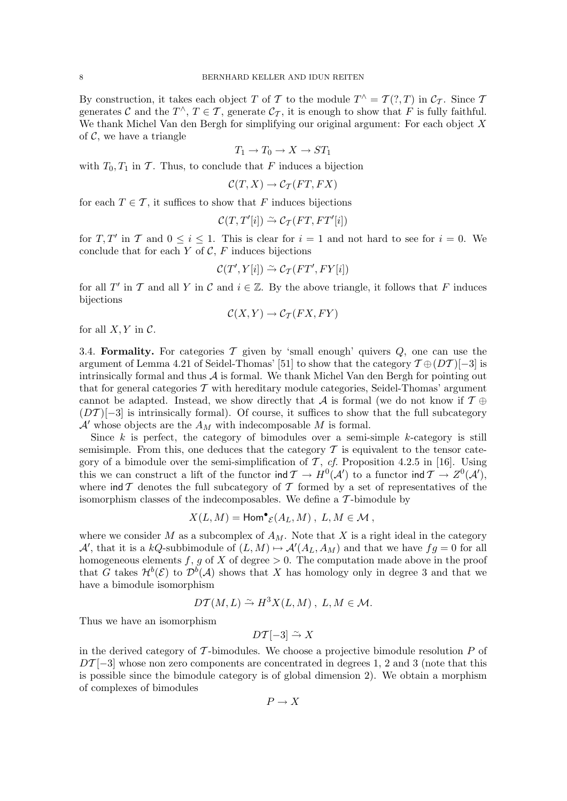By construction, it takes each object T of T to the module  $T^{\wedge} = T(?,T)$  in  $\mathcal{C}_{\mathcal{T}}$ . Since T generates C and the  $T^{\wedge}$ ,  $T \in \mathcal{T}$ , generate  $\mathcal{C}_{\mathcal{T}}$ , it is enough to show that F is fully faithful. We thank Michel Van den Bergh for simplifying our original argument: For each object  $X$ of  $\mathcal{C}$ , we have a triangle

$$
T_1 \to T_0 \to X \to ST_1
$$

with  $T_0, T_1$  in T. Thus, to conclude that F induces a bijection

$$
\mathcal{C}(T,X)\to \mathcal{C}_T(FT, FX)
$$

for each  $T \in \mathcal{T}$ , it suffices to show that F induces bijections

$$
\mathcal{C}(T,T'[i]) \xrightarrow{\sim} \mathcal{C}_{\mathcal{T}}(FT,FT'[i])
$$

for T, T' in T and  $0 \le i \le 1$ . This is clear for  $i = 1$  and not hard to see for  $i = 0$ . We conclude that for each  $Y$  of  $C$ ,  $F$  induces bijections

$$
\mathcal{C}(T',Y[i]) \stackrel{\sim}{\rightarrow} \mathcal{C}_{\mathcal{T}}(FT', FY[i])
$$

for all T' in T and all Y in C and  $i \in \mathbb{Z}$ . By the above triangle, it follows that F induces bijections

$$
\mathcal{C}(X,Y) \to \mathcal{C}_T(FX,FY)
$$

for all  $X, Y$  in  $C$ .

3.4. Formality. For categories  $\mathcal T$  given by 'small enough' quivers  $Q$ , one can use the argument of Lemma 4.21 of Seidel-Thomas' [51] to show that the category  $\mathcal{T} \oplus (DT)[-3]$  is intrinsically formal and thus  $A$  is formal. We thank Michel Van den Bergh for pointing out that for general categories  $\mathcal T$  with hereditary module categories, Seidel-Thomas' argument cannot be adapted. Instead, we show directly that A is formal (we do not know if  $\mathcal{T} \oplus$  $(DT)[-3]$  is intrinsically formal). Of course, it suffices to show that the full subcategory  $\mathcal{A}'$  whose objects are the  $A_M$  with indecomposable  $M$  is formal.

Since  $k$  is perfect, the category of bimodules over a semi-simple  $k$ -category is still semisimple. From this, one deduces that the category  $\mathcal T$  is equivalent to the tensor category of a bimodule over the semi-simplification of  $\mathcal T$ , cf. Proposition 4.2.5 in [16]. Using this we can construct a lift of the functor ind  $\mathcal{T} \to H^0(\mathcal{A}')$  to a functor ind  $\mathcal{T} \to Z^0(\mathcal{A}'),$ where  $\text{ind } \mathcal{T}$  denotes the full subcategory of  $\mathcal{T}$  formed by a set of representatives of the isomorphism classes of the indecomposables. We define a  $\mathcal T\text{-bimodule}$  by

$$
X(L,M) = \text{Hom}^{\bullet}{}_{\mathcal{E}}(A_L,M) , L,M \in \mathcal{M} ,
$$

where we consider M as a subcomplex of  $A_M$ . Note that X is a right ideal in the category A', that it is a kQ-subbimodule of  $(L, M) \mapsto \mathcal{A}'(A_L, A_M)$  and that we have  $fg = 0$  for all homogeneous elements f, g of X of degree  $> 0$ . The computation made above in the proof that G takes  $\mathcal{H}^{b}(\mathcal{E})$  to  $\mathcal{D}^{b}(\mathcal{A})$  shows that X has homology only in degree 3 and that we have a bimodule isomorphism

$$
D\mathcal{T}(M,L) \xrightarrow{\sim} H^3X(L,M) , L,M \in \mathcal{M}.
$$

Thus we have an isomorphism

$$
D\mathcal{T}[-3] \xrightarrow{\sim} X
$$

in the derived category of  $\mathcal T$ -bimodules. We choose a projective bimodule resolution  $P$  of  $DT[-3]$  whose non zero components are concentrated in degrees 1, 2 and 3 (note that this is possible since the bimodule category is of global dimension 2). We obtain a morphism of complexes of bimodules

$$
P \to X
$$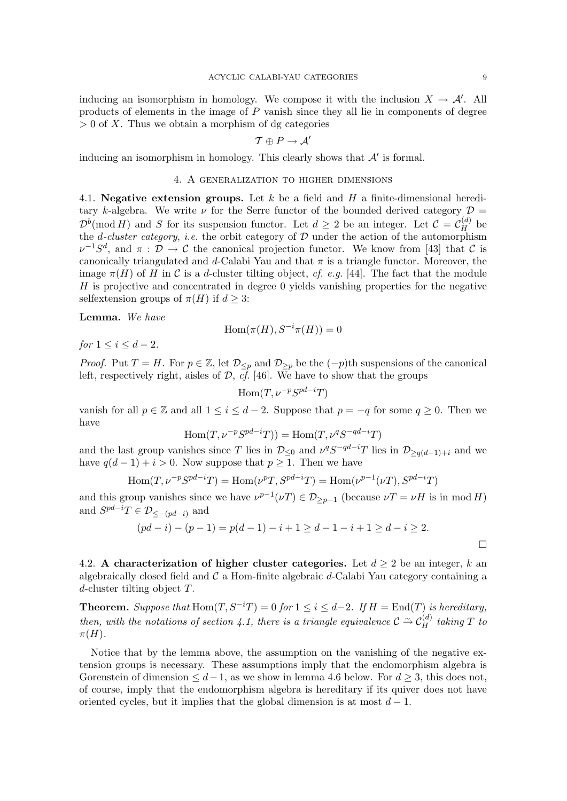inducing an isomorphism in homology. We compose it with the inclusion  $X \to \mathcal{A}'$ . All products of elements in the image of P vanish since they all lie in components of degree  $> 0$  of X. Thus we obtain a morphism of dg categories

$$
\mathcal{T} \oplus P \to \mathcal{A}'
$$

inducing an isomorphism in homology. This clearly shows that  $A'$  is formal.

#### 4. A generalization to higher dimensions

4.1. Negative extension groups. Let  $k$  be a field and  $H$  a finite-dimensional hereditary k-algebra. We write  $\nu$  for the Serre functor of the bounded derived category  $\mathcal{D} =$  $\mathcal{D}^b(\text{mod } H)$  and S for its suspension functor. Let  $d \geq 2$  be an integer. Let  $\mathcal{C} = \mathcal{C}_H^{(d)}$  be the *d*-cluster category, *i.e.* the orbit category of  $D$  under the action of the automorphism  $\nu^{-1}S^d$ , and  $\pi$ :  $\mathcal{D} \to \mathcal{C}$  the canonical projection functor. We know from [43] that  $\mathcal{C}$  is canonically triangulated and d-Calabi Yau and that  $\pi$  is a triangle functor. Moreover, the image  $\pi(H)$  of H in C is a d-cluster tilting object, cf. e.g. [44]. The fact that the module  $H$  is projective and concentrated in degree 0 yields vanishing properties for the negative selfextension groups of  $\pi(H)$  if  $d \geq 3$ :

Lemma. We have

$$
\operatorname{Hom}(\pi(H),S^{-i}\pi(H))=0
$$

for  $1 \le i \le d-2$ .

*Proof.* Put  $T = H$ . For  $p \in \mathbb{Z}$ , let  $\mathcal{D}_{\leq p}$  and  $\mathcal{D}_{\geq p}$  be the  $(-p)$ th suspensions of the canonical left, respectively right, aisles of  $\mathcal{D}, \overline{cf}$ . [46]. We have to show that the groups

 $\text{Hom}(T, \nu^{-p}S^{pd-i}T)$ 

vanish for all  $p \in \mathbb{Z}$  and all  $1 \leq i \leq d-2$ . Suppose that  $p = -q$  for some  $q \geq 0$ . Then we have

$$
\operatorname{Hom}(T, \nu^{-p} S^{pd-i}T)) = \operatorname{Hom}(T, \nu^q S^{-qd-i}T)
$$

and the last group vanishes since T lies in  $\mathcal{D}_{\leq 0}$  and  $\nu^q S^{-qd-i} T$  lies in  $\mathcal{D}_{\geq q(d-1)+i}$  and we have  $q(d-1) + i > 0$ . Now suppose that  $p \geq 1$ . Then we have

$$
\operatorname{Hom}\nolimits(T,\nu^{-p}S^{pd-i}T)=\operatorname{Hom}\nolimits(\nu^pT,S^{pd-i}T)=\operatorname{Hom}\nolimits(\nu^{p-1}(\nu T),S^{pd-i}T)
$$

and this group vanishes since we have  $\nu^{p-1}(\nu) \in \mathcal{D}_{\geq p-1}$  (because  $\nu T = \nu H$  is in mod H) and  $S^{pd-i}T \in \mathcal{D}_{\leq -(pd-i)}$  and

$$
(pd - i) - (p - 1) = p(d - 1) - i + 1 \ge d - 1 - i + 1 \ge d - i \ge 2.
$$

4.2. A characterization of higher cluster categories. Let  $d \geq 2$  be an integer, k an algebraically closed field and  $\mathcal C$  a Hom-finite algebraic d-Calabi Yau category containing a d-cluster tilting object T.

**Theorem.** Suppose that  $Hom(T, S^{-i}T) = 0$  for  $1 \leq i \leq d-2$ . If  $H = End(T)$  is hereditary, then, with the notations of section 4.1, there is a triangle equivalence  $\mathcal{C} \stackrel{\sim}{\rightarrow} \mathcal{C}_H^{(d)}$  taking T to  $\pi(H)$ .

Notice that by the lemma above, the assumption on the vanishing of the negative extension groups is necessary. These assumptions imply that the endomorphism algebra is Gorenstein of dimension  $\leq d-1$ , as we show in lemma 4.6 below. For  $d \geq 3$ , this does not, of course, imply that the endomorphism algebra is hereditary if its quiver does not have oriented cycles, but it implies that the global dimension is at most  $d-1$ .

 $\Box$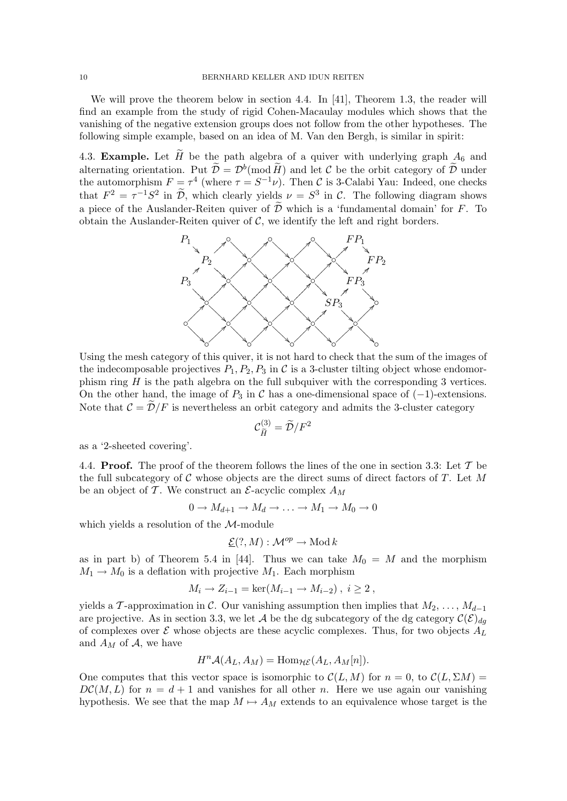We will prove the theorem below in section 4.4. In [41], Theorem 1.3, the reader will find an example from the study of rigid Cohen-Macaulay modules which shows that the vanishing of the negative extension groups does not follow from the other hypotheses. The following simple example, based on an idea of M. Van den Bergh, is similar in spirit:

4.3. **Example.** Let  $\widetilde{H}$  be the path algebra of a quiver with underlying graph  $A_6$  and alternating orientation. Put  $\tilde{\mathcal{D}} = \mathcal{D}^b(\text{mod }\tilde{H})$  and let C be the orbit category of  $\tilde{\mathcal{D}}$  under the automorphism  $F = \tau^4$  (where  $\tau = S^{-1}\nu$ ). Then C is 3-Calabi Yau: Indeed, one checks that  $F^2 = \tau^{-1}S^2$  in  $\tilde{\mathcal{D}}$ , which clearly yields  $\nu = S^3$  in C. The following diagram shows a piece of the Auslander-Reiten quiver of  $\widetilde{\mathcal{D}}$  which is a 'fundamental domain' for F. To obtain the Auslander-Reiten quiver of  $\mathcal{C}$ , we identify the left and right borders.



Using the mesh category of this quiver, it is not hard to check that the sum of the images of the indecomposable projectives  $P_1, P_2, P_3$  in C is a 3-cluster tilting object whose endomorphism ring  $H$  is the path algebra on the full subquiver with the corresponding 3 vertices. On the other hand, the image of  $P_3$  in C has a one-dimensional space of  $(-1)$ -extensions. Note that  $\mathcal{C} = \widetilde{\mathcal{D}}/F$  is nevertheless an orbit category and admits the 3-cluster category

$$
\mathcal{C}_{\widetilde{H}}^{(3)} = \widetilde{\mathcal{D}}/F^2
$$

as a '2-sheeted covering'.

4.4. **Proof.** The proof of the theorem follows the lines of the one in section 3.3: Let  $\mathcal{T}$  be the full subcategory of  $C$  whose objects are the direct sums of direct factors of  $T$ . Let M be an object of  $\mathcal T$ . We construct an  $\mathcal E$ -acyclic complex  $A_M$ 

$$
0 \to M_{d+1} \to M_d \to \ldots \to M_1 \to M_0 \to 0
$$

which yields a resolution of the M-module

$$
\underline{\mathcal{E}}(?M): \mathcal{M}^{op} \to \text{Mod } k
$$

as in part b) of Theorem 5.4 in [44]. Thus we can take  $M_0 = M$  and the morphism  $M_1 \rightarrow M_0$  is a deflation with projective  $M_1$ . Each morphism

$$
M_i \to Z_{i-1} = \ker(M_{i-1} \to M_{i-2}), i \ge 2
$$
,

yields a T-approximation in C. Our vanishing assumption then implies that  $M_2, \ldots, M_{d-1}$ are projective. As in section 3.3, we let A be the dg subcategory of the dg category  $\mathcal{C}(\mathcal{E})_{dq}$ of complexes over  $\mathcal E$  whose objects are these acyclic complexes. Thus, for two objects  $A_L$ and  $A_M$  of  $A$ , we have

$$
H^{n} \mathcal{A}(A_{L}, A_{M}) = \text{Hom}_{\mathcal{HE}}(A_{L}, A_{M}[n]).
$$

One computes that this vector space is isomorphic to  $\mathcal{C}(L, M)$  for  $n = 0$ , to  $\mathcal{C}(L, \Sigma M) =$  $DC(M, L)$  for  $n = d + 1$  and vanishes for all other n. Here we use again our vanishing hypothesis. We see that the map  $M \mapsto A_M$  extends to an equivalence whose target is the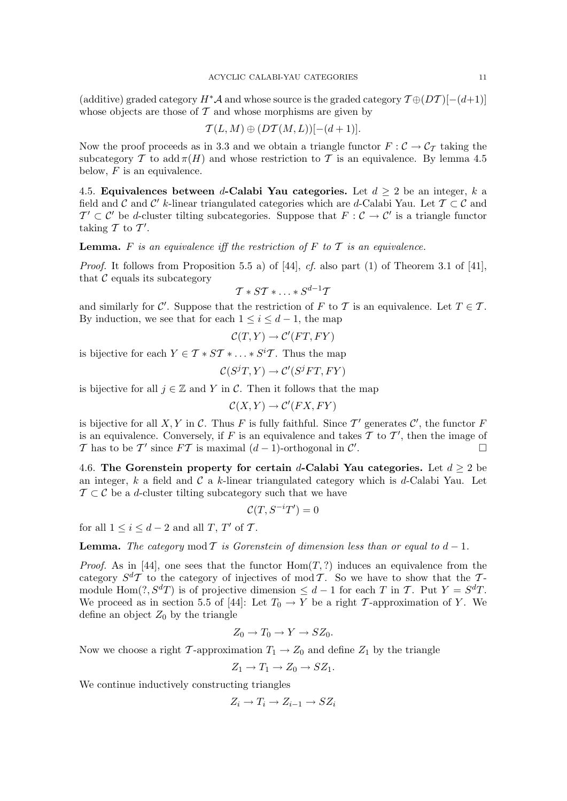(additive) graded category  $H^*\mathcal{A}$  and whose source is the graded category  $\mathcal{T} \oplus (DT)$ [-(d+1)] whose objects are those of  $\mathcal T$  and whose morphisms are given by

$$
\mathcal{T}(L,M)\oplus (D\mathcal{T}(M,L))[-(d+1)].
$$

Now the proof proceeds as in 3.3 and we obtain a triangle functor  $F : \mathcal{C} \to \mathcal{C}_{\mathcal{T}}$  taking the subcategory T to add  $\pi(H)$  and whose restriction to T is an equivalence. By lemma 4.5 below,  $F$  is an equivalence.

4.5. Equivalences between d-Calabi Yau categories. Let  $d \geq 2$  be an integer, k a field and C and C' k-linear triangulated categories which are d-Calabi Yau. Let  $\mathcal{T} \subset \mathcal{C}$  and  $T' \subset C'$  be d-cluster tilting subcategories. Suppose that  $F : C \to C'$  is a triangle functor taking  $\mathcal T$  to  $\mathcal T'.$ 

**Lemma.** F is an equivalence iff the restriction of F to T is an equivalence.

*Proof.* It follows from Proposition 5.5 a) of [44], cf. also part (1) of Theorem 3.1 of [41], that  $\mathcal C$  equals its subcategory

$$
\mathcal{T} * S\mathcal{T} * \ldots * S^{d-1}\mathcal{T}
$$

and similarly for C'. Suppose that the restriction of F to T is an equivalence. Let  $T \in \mathcal{T}$ . By induction, we see that for each  $1 \leq i \leq d-1$ , the map

$$
\mathcal{C}(T, Y) \to \mathcal{C}'(FT, FY)
$$

is bijective for each  $Y \in \mathcal{T} * ST * \ldots * S^{i} \mathcal{T}$ . Thus the map

$$
\mathcal{C}(S^{j}T,Y)\rightarrow \mathcal{C}'(S^{j}FT, FY)
$$

is bijective for all  $j \in \mathbb{Z}$  and Y in C. Then it follows that the map

$$
\mathcal{C}(X,Y) \to \mathcal{C}'(FX,FY)
$$

is bijective for all X, Y in C. Thus F is fully faithful. Since T' generates  $\mathcal{C}'$ , the functor F is an equivalence. Conversely, if F is an equivalence and takes T to T', then the image of T has to be T' since  $FT$  is maximal  $(d-1)$ -orthogonal in C' .

4.6. The Gorenstein property for certain d-Calabi Yau categories. Let  $d \geq 2$  be an integer,  $k$  a field and  $\mathcal C$  a k-linear triangulated category which is d-Calabi Yau. Let  $\mathcal{T} \subset \mathcal{C}$  be a d-cluster tilting subcategory such that we have

$$
\mathcal{C}(T, S^{-i}T') = 0
$$

for all  $1 \leq i \leq d-2$  and all  $T, T'$  of  $T$ .

**Lemma.** The category mod T is Gorenstein of dimension less than or equal to  $d-1$ .

*Proof.* As in [44], one sees that the functor  $Hom(T, ?)$  induces an equivalence from the category  $S^{d}T$  to the category of injectives of mod T. So we have to show that the Tmodule Hom $(?, S<sup>d</sup>T)$  is of projective dimension  $\leq d-1$  for each T in T. Put  $Y = S<sup>d</sup>T$ . We proceed as in section 5.5 of [44]: Let  $T_0 \to Y$  be a right T-approximation of Y. We define an object  $Z_0$  by the triangle

$$
Z_0 \to T_0 \to Y \to SZ_0.
$$

Now we choose a right T-approximation  $T_1 \rightarrow Z_0$  and define  $Z_1$  by the triangle

$$
Z_1 \to T_1 \to Z_0 \to SZ_1.
$$

We continue inductively constructing triangles

$$
Z_i \to T_i \to Z_{i-1} \to SZ_i
$$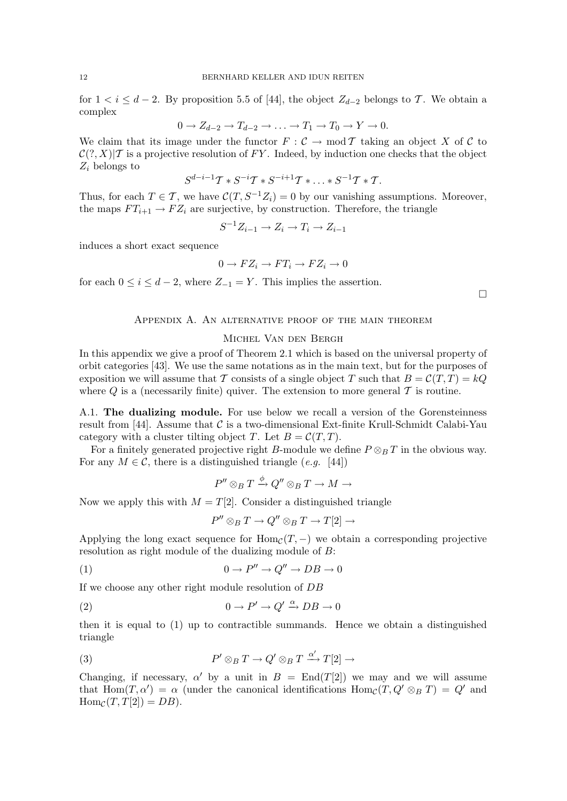for  $1 < i \leq d-2$ . By proposition 5.5 of [44], the object  $Z_{d-2}$  belongs to T. We obtain a complex

$$
0 \to Z_{d-2} \to T_{d-2} \to \ldots \to T_1 \to T_0 \to Y \to 0.
$$

We claim that its image under the functor  $F : \mathcal{C} \to \text{mod } \mathcal{T}$  taking an object X of C to  $\mathcal{C}(?, X)|\mathcal{T}$  is a projective resolution of FY. Indeed, by induction one checks that the object  $Z_i$  belongs to

$$
S^{d-i-1}T * S^{-i}T * S^{-i+1}T * ... * S^{-1}T * T.
$$

Thus, for each  $T \in \mathcal{T}$ , we have  $\mathcal{C}(T, S^{-1}Z_i) = 0$  by our vanishing assumptions. Moreover, the maps  $FT_{i+1} \rightarrow FZ_i$  are surjective, by construction. Therefore, the triangle

$$
S^{-1}Z_{i-1} \to Z_i \to T_i \to Z_{i-1}
$$

induces a short exact sequence

$$
0 \to FZ_i \to FT_i \to FZ_i \to 0
$$

for each  $0 \leq i \leq d-2$ , where  $Z_{-1} = Y$ . This implies the assertion.

 $\Box$ 

# Appendix A. An alternative proof of the main theorem

## Michel Van den Bergh

In this appendix we give a proof of Theorem 2.1 which is based on the universal property of orbit categories [43]. We use the same notations as in the main text, but for the purposes of exposition we will assume that T consists of a single object T such that  $B = \mathcal{C}(T,T) = kQ$ where  $Q$  is a (necessarily finite) quiver. The extension to more general  $T$  is routine.

A.1. The dualizing module. For use below we recall a version of the Gorensteinness result from [44]. Assume that  $\mathcal C$  is a two-dimensional Ext-finite Krull-Schmidt Calabi-Yau category with a cluster tilting object T. Let  $B = \mathcal{C}(T, T)$ .

For a finitely generated projective right B-module we define  $P \otimes_B T$  in the obvious way. For any  $M \in \mathcal{C}$ , there is a distinguished triangle (e.g. [44])

$$
P''\otimes_B T\stackrel{\phi}{\to} Q''\otimes_B T\to M\to
$$

Now we apply this with  $M = T[2]$ . Consider a distinguished triangle

$$
P''\otimes_B T\to Q''\otimes_B T\to T[2]\to
$$

Applying the long exact sequence for  $Hom<sub>C</sub>(T, -)$  we obtain a corresponding projective resolution as right module of the dualizing module of B:

$$
(1) \t\t 0 \to P'' \to Q'' \to DB \to 0
$$

If we choose any other right module resolution of DB

(2) 
$$
0 \to P' \to Q' \xrightarrow{\alpha} DB \to 0
$$

then it is equal to (1) up to contractible summands. Hence we obtain a distinguished triangle

(3) 
$$
P' \otimes_B T \to Q' \otimes_B T \xrightarrow{\alpha'} T[2] \to
$$

Changing, if necessary,  $\alpha'$  by a unit in  $B = \text{End}(T[2])$  we may and we will assume that  $\text{Hom}(T, \alpha') = \alpha$  (under the canonical identifications  $\text{Hom}_{\mathcal{C}}(T, Q' \otimes_B T) = Q'$  and  $\text{Hom}_{\mathcal{C}}(T, T[2]) = DB$ .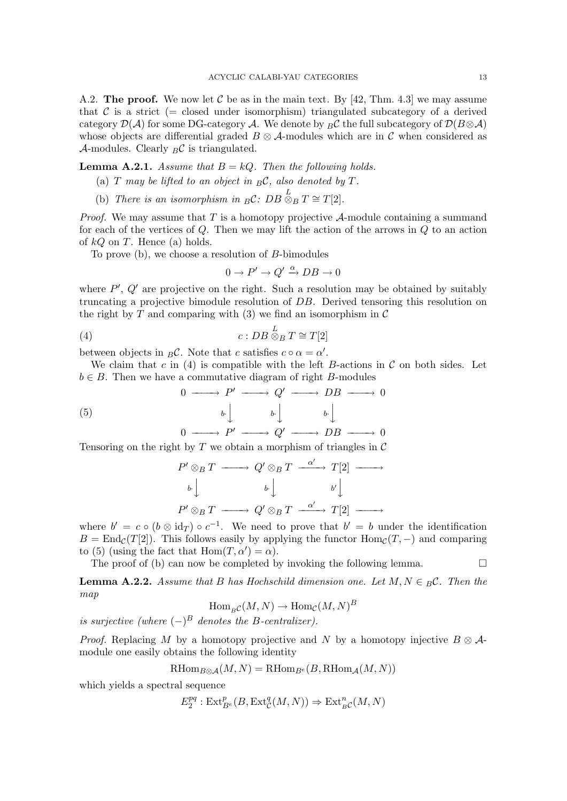A.2. The proof. We now let C be as in the main text. By [42, Thm. 4.3] we may assume that C is a strict (= closed under isomorphism) triangulated subcategory of a derived category  $\mathcal{D}(\mathcal{A})$  for some DG-category A. We denote by  ${}_{B}\mathcal{C}$  the full subcategory of  $\mathcal{D}(B\otimes\mathcal{A})$ whose objects are differential graded  $B \otimes A$ -modules which are in C when considered as A-modules. Clearly  ${}_{B}C$  is triangulated.

**Lemma A.2.1.** Assume that  $B = kQ$ . Then the following holds.

- (a)  $T$  may be lifted to an object in  ${}_{B}\mathcal{C}$ , also denoted by  $T$ .
- (b) There is an isomorphism in  ${}_{B}C$ :  $DB \overset{L}{\otimes}_{B} T \cong T[2]$ .

*Proof.* We may assume that  $T$  is a homotopy projective  $A$ -module containing a summand for each of the vertices of Q. Then we may lift the action of the arrows in Q to an action of  $kQ$  on T. Hence (a) holds.

To prove (b), we choose a resolution of B-bimodules

$$
0 \to P' \to Q' \xrightarrow{\alpha} DB \to 0
$$

where  $P'$ ,  $Q'$  are projective on the right. Such a resolution may be obtained by suitably truncating a projective bimodule resolution of DB. Derived tensoring this resolution on the right by  $T$  and comparing with (3) we find an isomorphism in  $\mathcal C$ 

$$
(4) \t\t c: DB \overset{L}{\otimes}_B T \cong T[2]
$$

between objects in  ${}_{B}C$ . Note that c satisfies  $c \circ \alpha = \alpha'$ .

We claim that c in (4) is compatible with the left B-actions in  $\mathcal C$  on both sides. Let  $b \in B$ . Then we have a commutative diagram of right B-modules

(5)  $0 \longrightarrow P' \longrightarrow Q' \longrightarrow DB \longrightarrow 0$  $b \cdot \int$   $b \cdot \int$   $b \cdot \int$  $0 \longrightarrow P' \longrightarrow Q' \longrightarrow DB \longrightarrow 0$ 

Tensoring on the right by T we obtain a morphism of triangles in  $\mathcal C$ 

$$
P' \otimes_B T \longrightarrow Q' \otimes_B T \xrightarrow{\alpha'} T[2] \longrightarrow
$$
  
\n
$$
b \downarrow \qquad \qquad b \downarrow \qquad \qquad b' \downarrow
$$
  
\n
$$
P' \otimes_B T \longrightarrow Q' \otimes_B T \xrightarrow{\alpha'} T[2] \longrightarrow
$$

where  $b' = c \circ (b \otimes id_T) \circ c^{-1}$ . We need to prove that  $b' = b$  under the identification  $B = \text{End}_{\mathcal{C}}(T[2])$ . This follows easily by applying the functor  $\text{Hom}_{\mathcal{C}}(T, -)$  and comparing to (5) (using the fact that  $Hom(T, \alpha') = \alpha$ ).

The proof of (b) can now be completed by invoking the following lemma.  $\Box$ 

**Lemma A.2.2.** Assume that B has Hochschild dimension one. Let  $M, N \in B\mathcal{C}$ . Then the map B

$$
\text{Hom}_{B}\mathcal{C}(M,N) \to \text{Hom}_{\mathcal{C}}(M,N)^{E}
$$

is surjective (where  $(-)^B$  denotes the B-centralizer).

*Proof.* Replacing M by a homotopy projective and N by a homotopy injective  $B \otimes A$ module one easily obtains the following identity

$$
\operatorname{RHom}_{B\otimes A}(M, N) = \operatorname{RHom}_{B^e}(B, \operatorname{RHom}_A(M, N))
$$

which yields a spectral sequence

$$
E_2^{pq}: \text{Ext}^p_{B^e}(B, \text{Ext}^q_{\mathcal{C}}(M, N)) \Rightarrow \text{Ext}^n_{B^c}(M, N)
$$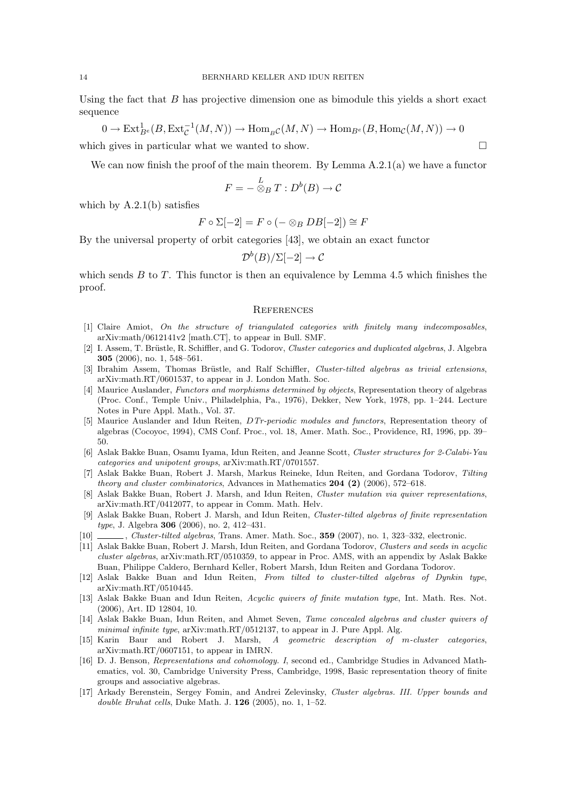Using the fact that  $B$  has projective dimension one as bimodule this yields a short exact sequence

$$
0 \to \text{Ext}_{B^e}^1(B,\text{Ext}_{\mathcal{C}}^{-1}(M,N)) \to \text{Hom}_{B^{\mathcal{C}}}(M,N) \to \text{Hom}_{B^e}(B,\text{Hom}_{\mathcal{C}}(M,N)) \to 0
$$

which gives in particular what we wanted to show.  $\Box$ 

We can now finish the proof of the main theorem. By Lemma  $A.2.1(a)$  we have a functor

$$
F = -\stackrel{L}{\otimes}_B T : D^b(B) \to \mathcal{C}
$$

which by A.2.1(b) satisfies

$$
F \circ \Sigma[-2] = F \circ (- \otimes_B DB[-2]) \cong F
$$

By the universal property of orbit categories [43], we obtain an exact functor

 $\mathcal{D}^{b}(B)/\Sigma[-2]\rightarrow\mathcal{C}$ 

which sends  $B$  to  $T$ . This functor is then an equivalence by Lemma 4.5 which finishes the proof.

### **REFERENCES**

- [1] Claire Amiot, On the structure of triangulated categories with finitely many indecomposables, arXiv:math/0612141v2 [math.CT], to appear in Bull. SMF.
- [2] I. Assem, T. Brüstle, R. Schiffler, and G. Todorov, Cluster categories and duplicated algebras, J. Algebra 305 (2006), no. 1, 548–561.
- [3] Ibrahim Assem, Thomas Brüstle, and Ralf Schiffler, Cluster-tilted algebras as trivial extensions, arXiv:math.RT/0601537, to appear in J. London Math. Soc.
- [4] Maurice Auslander, Functors and morphisms determined by objects, Representation theory of algebras (Proc. Conf., Temple Univ., Philadelphia, Pa., 1976), Dekker, New York, 1978, pp. 1–244. Lecture Notes in Pure Appl. Math., Vol. 37.
- [5] Maurice Auslander and Idun Reiten, DTr-periodic modules and functors, Representation theory of algebras (Cocoyoc, 1994), CMS Conf. Proc., vol. 18, Amer. Math. Soc., Providence, RI, 1996, pp. 39– 50.
- [6] Aslak Bakke Buan, Osamu Iyama, Idun Reiten, and Jeanne Scott, Cluster structures for 2-Calabi-Yau categories and unipotent groups, arXiv:math.RT/0701557.
- [7] Aslak Bakke Buan, Robert J. Marsh, Markus Reineke, Idun Reiten, and Gordana Todorov, Tilting theory and cluster combinatorics, Advances in Mathematics 204 (2) (2006), 572-618.
- [8] Aslak Bakke Buan, Robert J. Marsh, and Idun Reiten, Cluster mutation via quiver representations, arXiv:math.RT/0412077, to appear in Comm. Math. Helv.
- [9] Aslak Bakke Buan, Robert J. Marsh, and Idun Reiten, Cluster-tilted algebras of finite representation type, J. Algebra 306 (2006), no. 2, 412–431.
- [10] , Cluster-tilted algebras, Trans. Amer. Math. Soc., 359 (2007), no. 1, 323–332, electronic.
- [11] Aslak Bakke Buan, Robert J. Marsh, Idun Reiten, and Gordana Todorov, Clusters and seeds in acyclic cluster algebras, arXiv:math.RT/0510359, to appear in Proc. AMS, with an appendix by Aslak Bakke Buan, Philippe Caldero, Bernhard Keller, Robert Marsh, Idun Reiten and Gordana Todorov.
- [12] Aslak Bakke Buan and Idun Reiten, From tilted to cluster-tilted algebras of Dynkin type, arXiv:math.RT/0510445.
- [13] Aslak Bakke Buan and Idun Reiten, Acyclic quivers of finite mutation type, Int. Math. Res. Not. (2006), Art. ID 12804, 10.
- [14] Aslak Bakke Buan, Idun Reiten, and Ahmet Seven, Tame concealed algebras and cluster quivers of minimal infinite type, arXiv:math.RT/0512137, to appear in J. Pure Appl. Alg.
- [15] Karin Baur and Robert J. Marsh, A geometric description of m-cluster categories, arXiv:math.RT/0607151, to appear in IMRN.
- [16] D. J. Benson, Representations and cohomology. I, second ed., Cambridge Studies in Advanced Mathematics, vol. 30, Cambridge University Press, Cambridge, 1998, Basic representation theory of finite groups and associative algebras.
- [17] Arkady Berenstein, Sergey Fomin, and Andrei Zelevinsky, Cluster algebras. III. Upper bounds and double Bruhat cells, Duke Math. J.  $126$  (2005), no. 1, 1–52.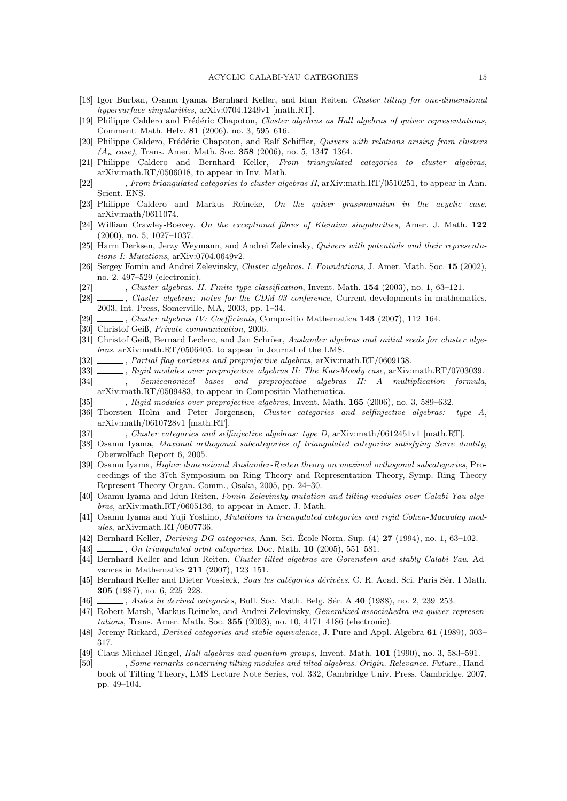- [18] Igor Burban, Osamu Iyama, Bernhard Keller, and Idun Reiten, Cluster tilting for one-dimensional hypersurface singularities,  $arXiv:0704.1249v1$  [math.RT].
- [19] Philippe Caldero and Frédéric Chapoton, Cluster algebras as Hall algebras of quiver representations, Comment. Math. Helv. 81 (2006), no. 3, 595–616.
- [20] Philippe Caldero, Frédéric Chapoton, and Ralf Schiffler, Quivers with relations arising from clusters  $(A_n \ case)$ , Trans. Amer. Math. Soc. 358 (2006), no. 5, 1347–1364.
- [21] Philippe Caldero and Bernhard Keller, From triangulated categories to cluster algebras, arXiv:math.RT/0506018, to appear in Inv. Math.
- [22] , From triangulated categories to cluster algebras II, arXiv:math.RT/0510251, to appear in Ann. Scient. ENS.
- [23] Philippe Caldero and Markus Reineke, On the quiver grassmannian in the acyclic case, arXiv:math/0611074.
- [24] William Crawley-Boevey, On the exceptional fibres of Kleinian singularities, Amer. J. Math. 122 (2000), no. 5, 1027–1037.
- [25] Harm Derksen, Jerzy Weymann, and Andrei Zelevinsky, Quivers with potentials and their representations I: Mutations, arXiv:0704.0649v2.
- [26] Sergey Fomin and Andrei Zelevinsky, Cluster algebras. I. Foundations, J. Amer. Math. Soc. 15 (2002), no. 2, 497–529 (electronic).
- [27] , Cluster algebras. II. Finite type classification, Invent. Math. 154 (2003), no. 1, 63–121.
- [28]  $\_\_\_\_\_\_$ Cluster algebras: notes for the CDM-03 conference, Current developments in mathematics, 2003, Int. Press, Somerville, MA, 2003, pp. 1–34.
- [29] , Cluster algebras IV: Coefficients, Compositio Mathematica 143 (2007), 112–164.
- [30] Christof Geiß, Private communication, 2006.
- [31] Christof Geiß, Bernard Leclerc, and Jan Schröer, Auslander algebras and initial seeds for cluster algebras, arXiv:math.RT/0506405, to appear in Journal of the LMS.
- [32] , Partial flag varieties and preprojective algebras, arXiv:math.RT/0609138.
- [33]  $\_\_\_\_\$  Rigid modules over preprojective algebras II: The Kac-Moody case, arXiv:math.RT/0703039.
- [34] Semicanonical bases and preprojective algebras II: A multiplication formula, arXiv:math.RT/0509483, to appear in Compositio Mathematica.
- [35] , Rigid modules over preprojective algebras, Invent. Math. 165 (2006), no. 3, 589–632.
- [36] Thorsten Holm and Peter Jorgensen, Cluster categories and selfinjective algebras: type A, arXiv:math/0610728v1 [math.RT].
- [37] Cluster categories and selfinjective algebras: type D, arXiv:math/0612451v1 [math.RT].
- [38] Osamu Iyama, Maximal orthogonal subcategories of triangulated categories satisfying Serre duality, Oberwolfach Report 6, 2005.
- [39] Osamu Iyama, Higher dimensional Auslander-Reiten theory on maximal orthogonal subcategories, Proceedings of the 37th Symposium on Ring Theory and Representation Theory, Symp. Ring Theory Represent Theory Organ. Comm., Osaka, 2005, pp. 24–30.
- [40] Osamu Iyama and Idun Reiten, Fomin-Zelevinsky mutation and tilting modules over Calabi-Yau algebras, arXiv:math.RT/0605136, to appear in Amer. J. Math.
- [41] Osamu Iyama and Yuji Yoshino, Mutations in triangulated categories and rigid Cohen-Macaulay modules, arXiv:math.RT/0607736.
- [42] Bernhard Keller, *Deriving DG categories*, Ann. Sci. École Norm. Sup.  $(4)$  **27** (1994), no. 1, 63–102.
- [43] , On triangulated orbit categories, Doc. Math. **10** (2005), 551–581.
- [44] Bernhard Keller and Idun Reiten, Cluster-tilted algebras are Gorenstein and stably Calabi-Yau, Advances in Mathematics 211 (2007), 123–151.
- [45] Bernhard Keller and Dieter Vossieck, Sous les catégories dérivées, C. R. Acad. Sci. Paris Sér. I Math. 305 (1987), no. 6, 225–228.
- [46] , Aisles in derived categories, Bull. Soc. Math. Belg. Sér. A 40 (1988), no. 2, 239–253.
- [47] Robert Marsh, Markus Reineke, and Andrei Zelevinsky, Generalized associahedra via quiver representations, Trans. Amer. Math. Soc. 355 (2003), no. 10, 4171–4186 (electronic).
- [48] Jeremy Rickard, Derived categories and stable equivalence, J. Pure and Appl. Algebra 61 (1989), 303– 317.
- [49] Claus Michael Ringel, *Hall algebras and quantum groups*, Invent. Math. **101** (1990), no. 3, 583–591.
- [50] , Some remarks concerning tilting modules and tilted algebras. Origin. Relevance. Future., Handbook of Tilting Theory, LMS Lecture Note Series, vol. 332, Cambridge Univ. Press, Cambridge, 2007, pp. 49–104.